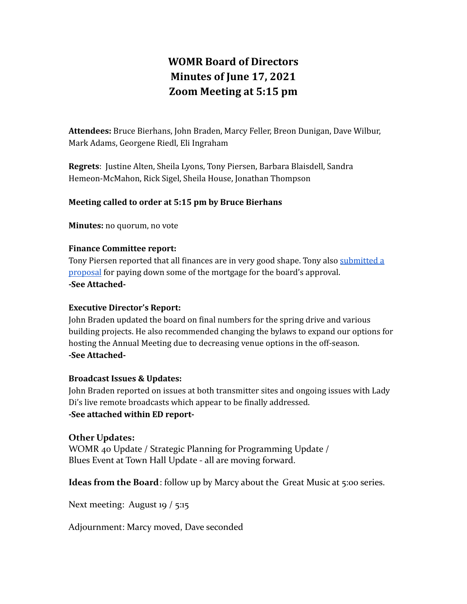# **WOMR Board of Directors Minutes of June 17, 2021 Zoom Meeting at 5:15 pm**

**Attendees:** Bruce Bierhans, John Braden, Marcy Feller, Breon Dunigan, Dave Wilbur, Mark Adams, Georgene Riedl, Eli Ingraham

**Regrets**: Justine Alten, Sheila Lyons, Tony Piersen, Barbara Blaisdell, Sandra Hemeon-McMahon, Rick Sigel, Sheila House, Jonathan Thompson

### **Meeting called to order at 5:15 pm by Bruce Bierhans**

**Minutes:** no quorum, no vote

### **Finance Committee report:**

Tony Piersen reported that all finances are in very good shape. Tony also [submitted](https://docs.google.com/document/d/14zSzPVG1OI328_9I8bjMDoR0c33_ga6oxQODZ2WIC7g/edit?usp=sharing) a [proposal](https://docs.google.com/document/d/14zSzPVG1OI328_9I8bjMDoR0c33_ga6oxQODZ2WIC7g/edit?usp=sharing) for paying down some of the mortgage for the board's approval. **-See Attached-**

### **Executive Director's Report:**

John Braden updated the board on final numbers for the spring drive and various building projects. He also recommended changing the bylaws to expand our options for hosting the Annual Meeting due to decreasing venue options in the off-season. **-See Attached-**

### **Broadcast Issues & Updates:**

John Braden reported on issues at both transmitter sites and ongoing issues with Lady Di's live remote broadcasts which appear to be finally addressed. **-See attached within ED report-**

### **Other Updates:**

WOMR 40 Update / Strategic Planning for Programming Update / Blues Event at Town Hall Update - all are moving forward.

**Ideas from the Board**: follow up by Marcy about the Great Music at 5:00 series.

Next meeting: August 19 / 5:15

Adjournment: Marcy moved, Dave seconded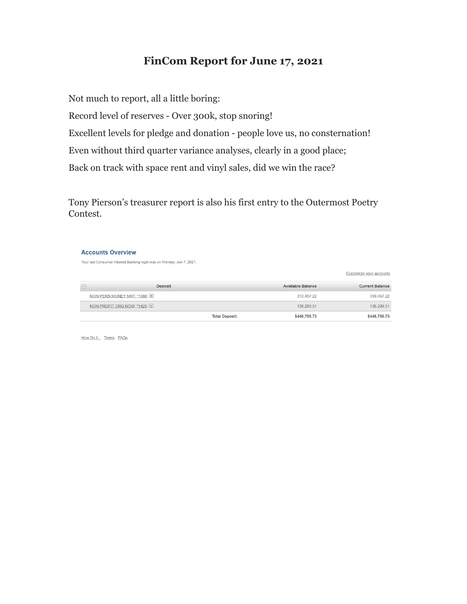### **FinCom Report for June 17, 2021**

Not much to report, all a little boring: Record level of reserves - Over 300k, stop snoring! Excellent levels for pledge and donation - people love us, no consternation! Even without third quarter variance analyses, clearly in a good place; Back on track with space rent and vinyl sales, did we win the race?

Tony Pierson's treasurer report is also his first entry to the Outermost Poetry Contest.

#### **Accounts Overview**

Your last Consumer Internet Banking login was on Monday, Jun 7, 2021.

Deposit Available Balance **Current Balance**  $\boxdot$ 310,457.22 NON PERS MONEY MKT, \*1966 310,457.22 NON PROFIT ORG NOW, \*1429 136,299.51 136,299.51 \$446,756.73 **Total Deposit:** \$446,756.73

Customize your accounts

How Do I... Terms FAQs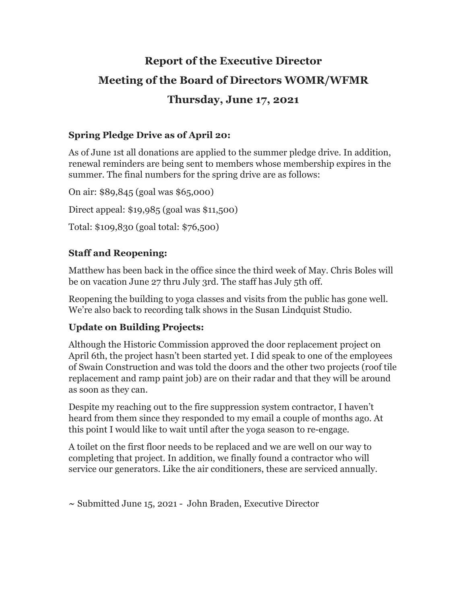# **Report of the Executive Director Meeting of the Board of Directors WOMR/WFMR Thursday, June 17, 2021**

### **Spring Pledge Drive as of April 20:**

As of June 1st all donations are applied to the summer pledge drive. In addition, renewal reminders are being sent to members whose membership expires in the summer. The final numbers for the spring drive are as follows:

On air: \$89,845 (goal was \$65,000) Direct appeal: \$19,985 (goal was \$11,500) Total: \$109,830 (goal total: \$76,500)

### **Staff and Reopening:**

Matthew has been back in the office since the third week of May. Chris Boles will be on vacation June 27 thru July 3rd. The staff has July 5th off.

Reopening the building to yoga classes and visits from the public has gone well. We're also back to recording talk shows in the Susan Lindquist Studio.

### **Update on Building Projects:**

Although the Historic Commission approved the door replacement project on April 6th, the project hasn't been started yet. I did speak to one of the employees of Swain Construction and was told the doors and the other two projects (roof tile replacement and ramp paint job) are on their radar and that they will be around as soon as they can.

Despite my reaching out to the fire suppression system contractor, I haven't heard from them since they responded to my email a couple of months ago. At this point I would like to wait until after the yoga season to re-engage.

A toilet on the first floor needs to be replaced and we are well on our way to completing that project. In addition, we finally found a contractor who will service our generators. Like the air conditioners, these are serviced annually.

**~** Submitted June 15, 2021 - John Braden, Executive Director